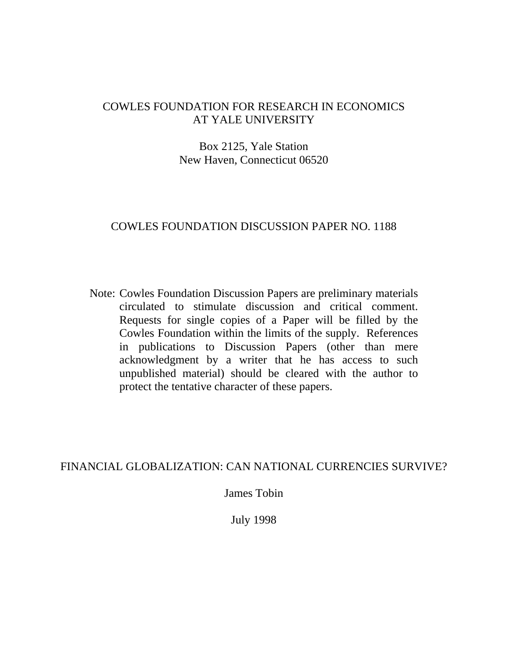## COWLES FOUNDATION FOR RESEARCH IN ECONOMICS AT YALE UNIVERSITY

## Box 2125, Yale Station New Haven, Connecticut 06520

## COWLES FOUNDATION DISCUSSION PAPER NO. 1188

Note: Cowles Foundation Discussion Papers are preliminary materials circulated to stimulate discussion and critical comment. Requests for single copies of a Paper will be filled by the Cowles Foundation within the limits of the supply. References in publications to Discussion Papers (other than mere acknowledgment by a writer that he has access to such unpublished material) should be cleared with the author to protect the tentative character of these papers.

## FINANCIAL GLOBALIZATION: CAN NATIONAL CURRENCIES SURVIVE?

James Tobin

July 1998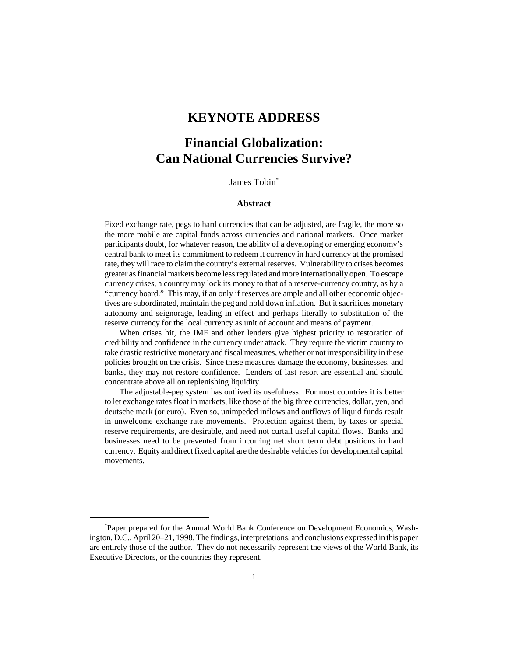## **KEYNOTE ADDRESS**

# **Financial Globalization: Can National Currencies Survive?**

James Tobin\*

#### **Abstract**

Fixed exchange rate, pegs to hard currencies that can be adjusted, are fragile, the more so the more mobile are capital funds across currencies and national markets. Once market participants doubt, for whatever reason, the ability of a developing or emerging economy's central bank to meet its commitment to redeem it currency in hard currency at the promised rate, they will race to claim the country's external reserves. Vulnerability to crises becomes greater as financial markets become less regulated and more internationally open. To escape currency crises, a country may lock its money to that of a reserve-currency country, as by a "currency board." This may, if an only if reserves are ample and all other economic objectives are subordinated, maintain the peg and hold down inflation. But it sacrifices monetary autonomy and seignorage, leading in effect and perhaps literally to substitution of the reserve currency for the local currency as unit of account and means of payment.

When crises hit, the IMF and other lenders give highest priority to restoration of credibility and confidence in the currency under attack. They require the victim country to take drastic restrictive monetary and fiscal measures, whether or not irresponsibility in these policies brought on the crisis. Since these measures damage the economy, businesses, and banks, they may not restore confidence. Lenders of last resort are essential and should concentrate above all on replenishing liquidity.

The adjustable-peg system has outlived its usefulness. For most countries it is better to let exchange rates float in markets, like those of the big three currencies, dollar, yen, and deutsche mark (or euro). Even so, unimpeded inflows and outflows of liquid funds result in unwelcome exchange rate movements. Protection against them, by taxes or special reserve requirements, are desirable, and need not curtail useful capital flows. Banks and businesses need to be prevented from incurring net short term debt positions in hard currency. Equity and direct fixed capital are the desirable vehicles for developmental capital movements.

<sup>\*</sup> Paper prepared for the Annual World Bank Conference on Development Economics, Washington, D.C., April 20–21, 1998. The findings, interpretations, and conclusions expressed in this paper are entirely those of the author. They do not necessarily represent the views of the World Bank, its Executive Directors, or the countries they represent.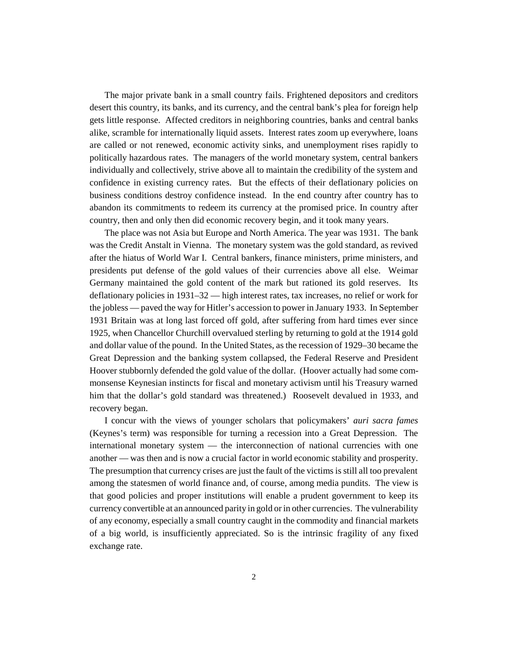The major private bank in a small country fails. Frightened depositors and creditors desert this country, its banks, and its currency, and the central bank's plea for foreign help gets little response. Affected creditors in neighboring countries, banks and central banks alike, scramble for internationally liquid assets. Interest rates zoom up everywhere, loans are called or not renewed, economic activity sinks, and unemployment rises rapidly to politically hazardous rates. The managers of the world monetary system, central bankers individually and collectively, strive above all to maintain the credibility of the system and confidence in existing currency rates. But the effects of their deflationary policies on business conditions destroy confidence instead. In the end country after country has to abandon its commitments to redeem its currency at the promised price. In country after country, then and only then did economic recovery begin, and it took many years.

The place was not Asia but Europe and North America. The year was 1931. The bank was the Credit Anstalt in Vienna. The monetary system was the gold standard, as revived after the hiatus of World War I. Central bankers, finance ministers, prime ministers, and presidents put defense of the gold values of their currencies above all else. Weimar Germany maintained the gold content of the mark but rationed its gold reserves. Its deflationary policies in 1931–32 — high interest rates, tax increases, no relief or work for the jobless — paved the way for Hitler's accession to power in January 1933. In September 1931 Britain was at long last forced off gold, after suffering from hard times ever since 1925, when Chancellor Churchill overvalued sterling by returning to gold at the 1914 gold and dollar value of the pound. In the United States, as the recession of 1929–30 became the Great Depression and the banking system collapsed, the Federal Reserve and President Hoover stubbornly defended the gold value of the dollar. (Hoover actually had some commonsense Keynesian instincts for fiscal and monetary activism until his Treasury warned him that the dollar's gold standard was threatened.) Roosevelt devalued in 1933, and recovery began.

I concur with the views of younger scholars that policymakers' *auri sacra fames* (Keynes's term) was responsible for turning a recession into a Great Depression. The international monetary system — the interconnection of national currencies with one another — was then and is now a crucial factor in world economic stability and prosperity. The presumption that currency crises are just the fault of the victims is still all too prevalent among the statesmen of world finance and, of course, among media pundits. The view is that good policies and proper institutions will enable a prudent government to keep its currency convertible at an announced parity in gold or in other currencies. The vulnerability of any economy, especially a small country caught in the commodity and financial markets of a big world, is insufficiently appreciated. So is the intrinsic fragility of any fixed exchange rate.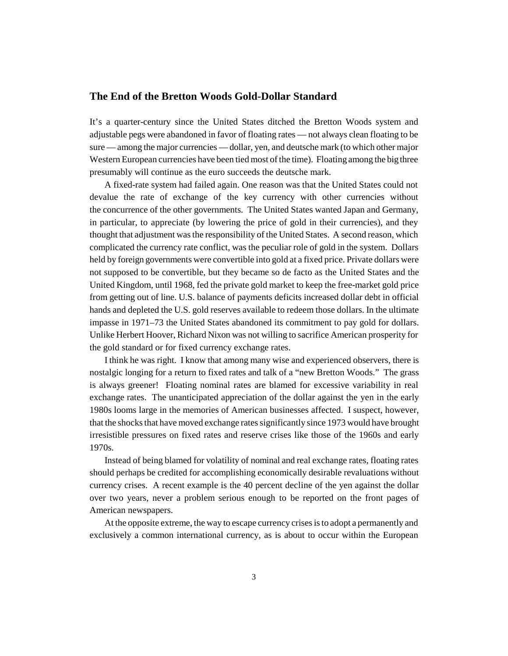#### **The End of the Bretton Woods Gold-Dollar Standard**

It's a quarter-century since the United States ditched the Bretton Woods system and adjustable pegs were abandoned in favor of floating rates — not always clean floating to be sure — among the major currencies — dollar, yen, and deutsche mark (to which other major Western European currencies have been tied most of the time). Floating among the big three presumably will continue as the euro succeeds the deutsche mark.

A fixed-rate system had failed again. One reason was that the United States could not devalue the rate of exchange of the key currency with other currencies without the concurrence of the other governments. The United States wanted Japan and Germany, in particular, to appreciate (by lowering the price of gold in their currencies), and they thought that adjustment was the responsibility of the United States. A second reason, which complicated the currency rate conflict, was the peculiar role of gold in the system. Dollars held by foreign governments were convertible into gold at a fixed price. Private dollars were not supposed to be convertible, but they became so de facto as the United States and the United Kingdom, until 1968, fed the private gold market to keep the free-market gold price from getting out of line. U.S. balance of payments deficits increased dollar debt in official hands and depleted the U.S. gold reserves available to redeem those dollars. In the ultimate impasse in 1971–73 the United States abandoned its commitment to pay gold for dollars. Unlike Herbert Hoover, Richard Nixon was not willing to sacrifice American prosperity for the gold standard or for fixed currency exchange rates.

I think he was right. I know that among many wise and experienced observers, there is nostalgic longing for a return to fixed rates and talk of a "new Bretton Woods." The grass is always greener! Floating nominal rates are blamed for excessive variability in real exchange rates. The unanticipated appreciation of the dollar against the yen in the early 1980s looms large in the memories of American businesses affected. I suspect, however, that the shocks that have moved exchange rates significantly since 1973 would have brought irresistible pressures on fixed rates and reserve crises like those of the 1960s and early 1970s.

Instead of being blamed for volatility of nominal and real exchange rates, floating rates should perhaps be credited for accomplishing economically desirable revaluations without currency crises. A recent example is the 40 percent decline of the yen against the dollar over two years, never a problem serious enough to be reported on the front pages of American newspapers.

At the opposite extreme, the way to escape currency crises is to adopt a permanently and exclusively a common international currency, as is about to occur within the European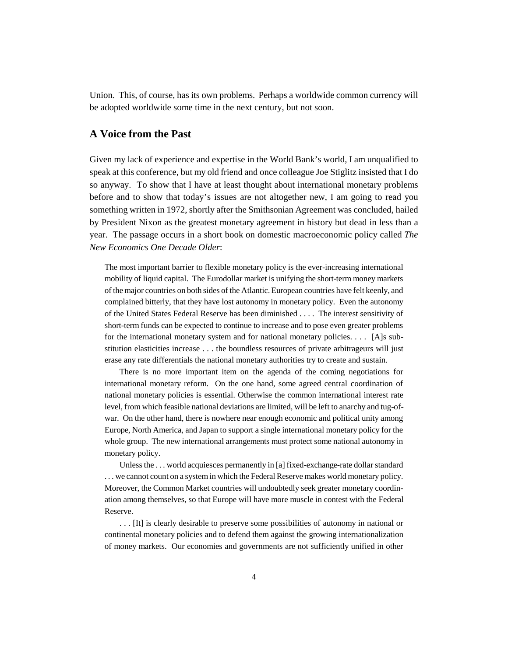Union. This, of course, has its own problems. Perhaps a worldwide common currency will be adopted worldwide some time in the next century, but not soon.

#### **A Voice from the Past**

Given my lack of experience and expertise in the World Bank's world, I am unqualified to speak at this conference, but my old friend and once colleague Joe Stiglitz insisted that I do so anyway. To show that I have at least thought about international monetary problems before and to show that today's issues are not altogether new, I am going to read you something written in 1972, shortly after the Smithsonian Agreement was concluded, hailed by President Nixon as the greatest monetary agreement in history but dead in less than a year. The passage occurs in a short book on domestic macroeconomic policy called *The New Economics One Decade Older*:

The most important barrier to flexible monetary policy is the ever-increasing international mobility of liquid capital. The Eurodollar market is unifying the short-term money markets of the major countries on both sides of the Atlantic. European countries have felt keenly, and complained bitterly, that they have lost autonomy in monetary policy. Even the autonomy of the United States Federal Reserve has been diminished . . . . The interest sensitivity of short-term funds can be expected to continue to increase and to pose even greater problems for the international monetary system and for national monetary policies. . . . [A]s substitution elasticities increase . . . the boundless resources of private arbitrageurs will just erase any rate differentials the national monetary authorities try to create and sustain.

There is no more important item on the agenda of the coming negotiations for international monetary reform. On the one hand, some agreed central coordination of national monetary policies is essential. Otherwise the common international interest rate level, from which feasible national deviations are limited, will be left to anarchy and tug-ofwar. On the other hand, there is nowhere near enough economic and political unity among Europe, North America, and Japan to support a single international monetary policy for the whole group. The new international arrangements must protect some national autonomy in monetary policy.

Unless the . . . world acquiesces permanently in [a] fixed-exchange-rate dollar standard . . . we cannot count on a system in which the Federal Reserve makes world monetary policy. Moreover, the Common Market countries will undoubtedly seek greater monetary coordination among themselves, so that Europe will have more muscle in contest with the Federal Reserve.

. . . [It] is clearly desirable to preserve some possibilities of autonomy in national or continental monetary policies and to defend them against the growing internationalization of money markets. Our economies and governments are not sufficiently unified in other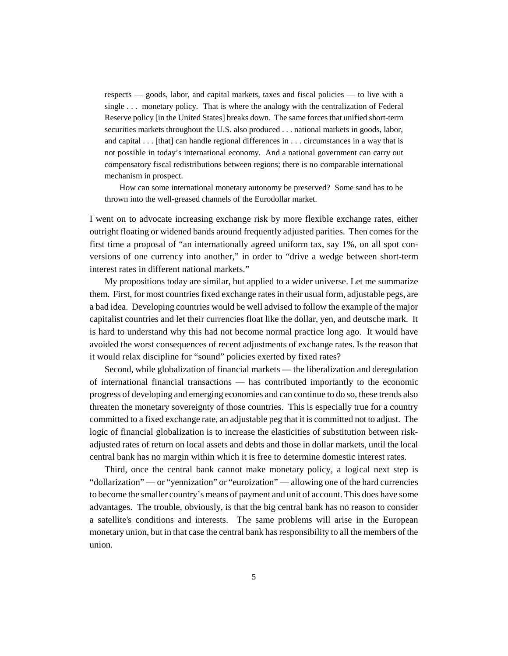respects — goods, labor, and capital markets, taxes and fiscal policies — to live with a single . . . monetary policy. That is where the analogy with the centralization of Federal Reserve policy [in the United States] breaks down. The same forces that unified short-term securities markets throughout the U.S. also produced . . . national markets in goods, labor, and capital . . . [that] can handle regional differences in . . . circumstances in a way that is not possible in today's international economy. And a national government can carry out compensatory fiscal redistributions between regions; there is no comparable international mechanism in prospect.

How can some international monetary autonomy be preserved? Some sand has to be thrown into the well-greased channels of the Eurodollar market.

I went on to advocate increasing exchange risk by more flexible exchange rates, either outright floating or widened bands around frequently adjusted parities. Then comes for the first time a proposal of "an internationally agreed uniform tax, say 1%, on all spot conversions of one currency into another," in order to "drive a wedge between short-term interest rates in different national markets."

My propositions today are similar, but applied to a wider universe. Let me summarize them. First, for most countries fixed exchange rates in their usual form, adjustable pegs, are a bad idea. Developing countries would be well advised to follow the example of the major capitalist countries and let their currencies float like the dollar, yen, and deutsche mark. It is hard to understand why this had not become normal practice long ago. It would have avoided the worst consequences of recent adjustments of exchange rates. Is the reason that it would relax discipline for "sound" policies exerted by fixed rates?

Second, while globalization of financial markets — the liberalization and deregulation of international financial transactions — has contributed importantly to the economic progress of developing and emerging economies and can continue to do so, these trends also threaten the monetary sovereignty of those countries. This is especially true for a country committed to a fixed exchange rate, an adjustable peg that it is committed not to adjust. The logic of financial globalization is to increase the elasticities of substitution between riskadjusted rates of return on local assets and debts and those in dollar markets, until the local central bank has no margin within which it is free to determine domestic interest rates.

Third, once the central bank cannot make monetary policy, a logical next step is "dollarization" — or "yennization" or "euroization" — allowing one of the hard currencies to become the smaller country's means of payment and unit of account. This does have some advantages. The trouble, obviously, is that the big central bank has no reason to consider a satellite's conditions and interests. The same problems will arise in the European monetary union, but in that case the central bank has responsibility to all the members of the union.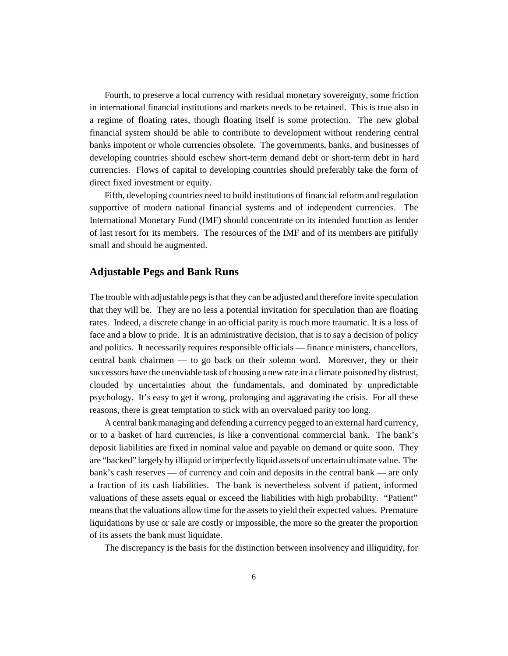Fourth, to preserve a local currency with residual monetary sovereignty, some friction in international financial institutions and markets needs to be retained. This is true also in a regime of floating rates, though floating itself is some protection. The new global financial system should be able to contribute to development without rendering central banks impotent or whole currencies obsolete. The governments, banks, and businesses of developing countries should eschew short-term demand debt or short-term debt in hard currencies. Flows of capital to developing countries should preferably take the form of direct fixed investment or equity.

Fifth, developing countries need to build institutions of financial reform and regulation supportive of modern national financial systems and of independent currencies. The International Monetary Fund (IMF) should concentrate on its intended function as lender of last resort for its members. The resources of the IMF and of its members are pitifully small and should be augmented.

#### **Adjustable Pegs and Bank Runs**

The trouble with adjustable pegs is that they can be adjusted and therefore invite speculation that they will be. They are no less a potential invitation for speculation than are floating rates. Indeed, a discrete change in an official parity is much more traumatic. It is a loss of face and a blow to pride. It is an administrative decision, that is to say a decision of policy and politics. It necessarily requires responsible officials — finance ministers, chancellors, central bank chairmen — to go back on their solemn word. Moreover, they or their successors have the unenviable task of choosing a new rate in a climate poisoned by distrust, clouded by uncertainties about the fundamentals, and dominated by unpredictable psychology. It's easy to get it wrong, prolonging and aggravating the crisis. For all these reasons, there is great temptation to stick with an overvalued parity too long.

A central bank managing and defending a currency pegged to an external hard currency, or to a basket of hard currencies, is like a conventional commercial bank. The bank's deposit liabilities are fixed in nominal value and payable on demand or quite soon. They are "backed" largely by illiquid or imperfectly liquid assets of uncertain ultimate value. The bank's cash reserves — of currency and coin and deposits in the central bank — are only a fraction of its cash liabilities. The bank is nevertheless solvent if patient, informed valuations of these assets equal or exceed the liabilities with high probability. "Patient" means that the valuations allow time for the assets to yield their expected values. Premature liquidations by use or sale are costly or impossible, the more so the greater the proportion of its assets the bank must liquidate.

The discrepancy is the basis for the distinction between insolvency and illiquidity, for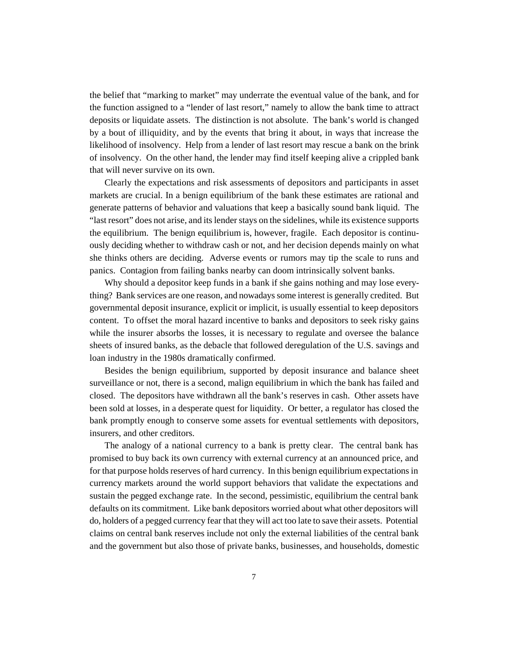the belief that "marking to market" may underrate the eventual value of the bank, and for the function assigned to a "lender of last resort," namely to allow the bank time to attract deposits or liquidate assets. The distinction is not absolute. The bank's world is changed by a bout of illiquidity, and by the events that bring it about, in ways that increase the likelihood of insolvency. Help from a lender of last resort may rescue a bank on the brink of insolvency. On the other hand, the lender may find itself keeping alive a crippled bank that will never survive on its own.

Clearly the expectations and risk assessments of depositors and participants in asset markets are crucial. In a benign equilibrium of the bank these estimates are rational and generate patterns of behavior and valuations that keep a basically sound bank liquid. The "last resort" does not arise, and its lender stays on the sidelines, while its existence supports the equilibrium. The benign equilibrium is, however, fragile. Each depositor is continuously deciding whether to withdraw cash or not, and her decision depends mainly on what she thinks others are deciding. Adverse events or rumors may tip the scale to runs and panics. Contagion from failing banks nearby can doom intrinsically solvent banks.

Why should a depositor keep funds in a bank if she gains nothing and may lose everything? Bank services are one reason, and nowadays some interest is generally credited. But governmental deposit insurance, explicit or implicit, is usually essential to keep depositors content. To offset the moral hazard incentive to banks and depositors to seek risky gains while the insurer absorbs the losses, it is necessary to regulate and oversee the balance sheets of insured banks, as the debacle that followed deregulation of the U.S. savings and loan industry in the 1980s dramatically confirmed.

Besides the benign equilibrium, supported by deposit insurance and balance sheet surveillance or not, there is a second, malign equilibrium in which the bank has failed and closed. The depositors have withdrawn all the bank's reserves in cash. Other assets have been sold at losses, in a desperate quest for liquidity. Or better, a regulator has closed the bank promptly enough to conserve some assets for eventual settlements with depositors, insurers, and other creditors.

The analogy of a national currency to a bank is pretty clear. The central bank has promised to buy back its own currency with external currency at an announced price, and for that purpose holds reserves of hard currency. In this benign equilibrium expectations in currency markets around the world support behaviors that validate the expectations and sustain the pegged exchange rate. In the second, pessimistic, equilibrium the central bank defaults on its commitment. Like bank depositors worried about what other depositors will do, holders of a pegged currency fear that they will act too late to save their assets. Potential claims on central bank reserves include not only the external liabilities of the central bank and the government but also those of private banks, businesses, and households, domestic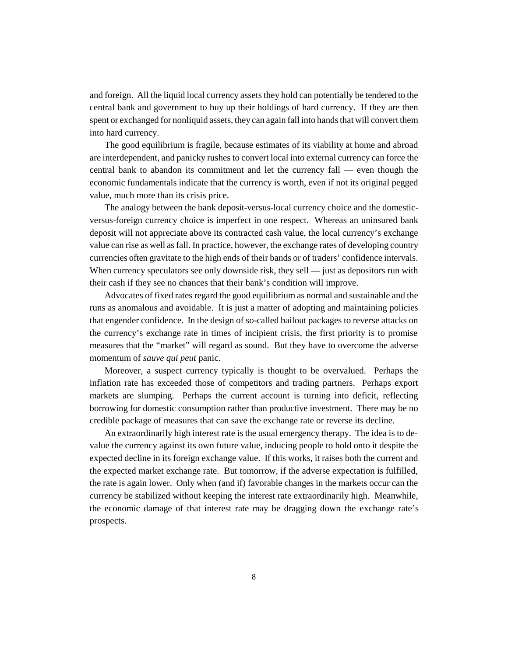and foreign. All the liquid local currency assets they hold can potentially be tendered to the central bank and government to buy up their holdings of hard currency. If they are then spent or exchanged for nonliquid assets, they can again fall into hands that will convert them into hard currency.

The good equilibrium is fragile, because estimates of its viability at home and abroad are interdependent, and panicky rushes to convert local into external currency can force the central bank to abandon its commitment and let the currency fall — even though the economic fundamentals indicate that the currency is worth, even if not its original pegged value, much more than its crisis price.

The analogy between the bank deposit-versus-local currency choice and the domesticversus-foreign currency choice is imperfect in one respect. Whereas an uninsured bank deposit will not appreciate above its contracted cash value, the local currency's exchange value can rise as well as fall. In practice, however, the exchange rates of developing country currencies often gravitate to the high ends of their bands or of traders' confidence intervals. When currency speculators see only downside risk, they sell — just as depositors run with their cash if they see no chances that their bank's condition will improve.

Advocates of fixed rates regard the good equilibrium as normal and sustainable and the runs as anomalous and avoidable. It is just a matter of adopting and maintaining policies that engender confidence. In the design of so-called bailout packages to reverse attacks on the currency's exchange rate in times of incipient crisis, the first priority is to promise measures that the "market" will regard as sound. But they have to overcome the adverse momentum of *sauve qui peut* panic.

Moreover, a suspect currency typically is thought to be overvalued. Perhaps the inflation rate has exceeded those of competitors and trading partners. Perhaps export markets are slumping. Perhaps the current account is turning into deficit, reflecting borrowing for domestic consumption rather than productive investment. There may be no credible package of measures that can save the exchange rate or reverse its decline.

An extraordinarily high interest rate is the usual emergency therapy. The idea is to devalue the currency against its own future value, inducing people to hold onto it despite the expected decline in its foreign exchange value. If this works, it raises both the current and the expected market exchange rate. But tomorrow, if the adverse expectation is fulfilled, the rate is again lower. Only when (and if) favorable changes in the markets occur can the currency be stabilized without keeping the interest rate extraordinarily high. Meanwhile, the economic damage of that interest rate may be dragging down the exchange rate's prospects.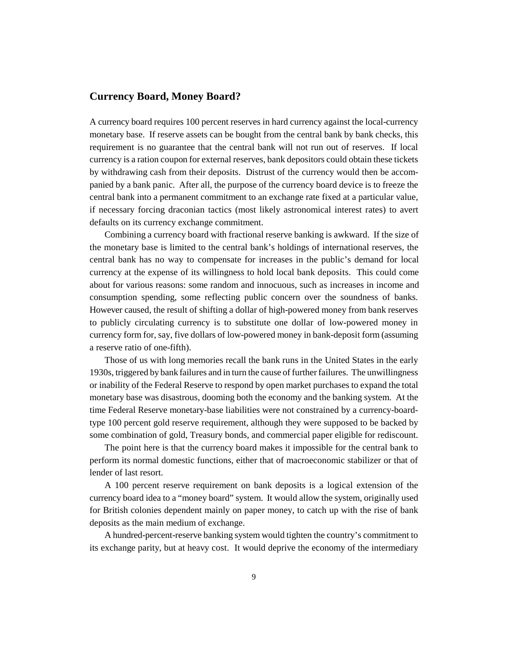#### **Currency Board, Money Board?**

A currency board requires 100 percent reserves in hard currency against the local-currency monetary base. If reserve assets can be bought from the central bank by bank checks, this requirement is no guarantee that the central bank will not run out of reserves. If local currency is a ration coupon for external reserves, bank depositors could obtain these tickets by withdrawing cash from their deposits. Distrust of the currency would then be accompanied by a bank panic. After all, the purpose of the currency board device is to freeze the central bank into a permanent commitment to an exchange rate fixed at a particular value, if necessary forcing draconian tactics (most likely astronomical interest rates) to avert defaults on its currency exchange commitment.

Combining a currency board with fractional reserve banking is awkward. If the size of the monetary base is limited to the central bank's holdings of international reserves, the central bank has no way to compensate for increases in the public's demand for local currency at the expense of its willingness to hold local bank deposits. This could come about for various reasons: some random and innocuous, such as increases in income and consumption spending, some reflecting public concern over the soundness of banks. However caused, the result of shifting a dollar of high-powered money from bank reserves to publicly circulating currency is to substitute one dollar of low-powered money in currency form for, say, five dollars of low-powered money in bank-deposit form (assuming a reserve ratio of one-fifth).

Those of us with long memories recall the bank runs in the United States in the early 1930s, triggered by bank failures and in turn the cause of further failures. The unwillingness or inability of the Federal Reserve to respond by open market purchases to expand the total monetary base was disastrous, dooming both the economy and the banking system. At the time Federal Reserve monetary-base liabilities were not constrained by a currency-boardtype 100 percent gold reserve requirement, although they were supposed to be backed by some combination of gold, Treasury bonds, and commercial paper eligible for rediscount.

The point here is that the currency board makes it impossible for the central bank to perform its normal domestic functions, either that of macroeconomic stabilizer or that of lender of last resort.

A 100 percent reserve requirement on bank deposits is a logical extension of the currency board idea to a "money board" system. It would allow the system, originally used for British colonies dependent mainly on paper money, to catch up with the rise of bank deposits as the main medium of exchange.

A hundred-percent-reserve banking system would tighten the country's commitment to its exchange parity, but at heavy cost. It would deprive the economy of the intermediary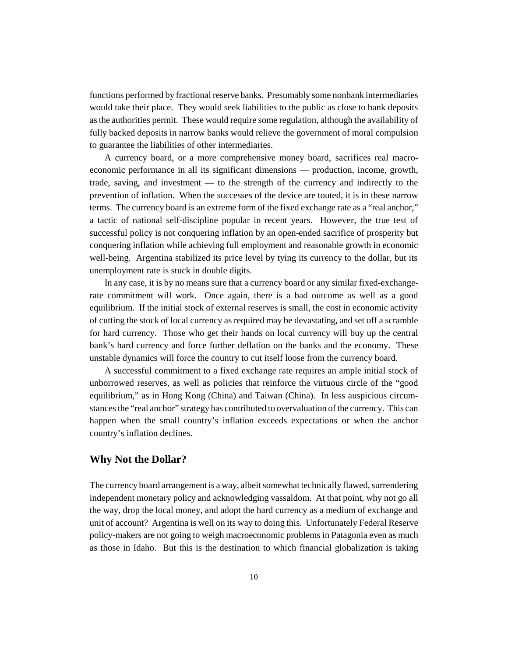functions performed by fractional reserve banks. Presumably some nonbank intermediaries would take their place. They would seek liabilities to the public as close to bank deposits as the authorities permit. These would require some regulation, although the availability of fully backed deposits in narrow banks would relieve the government of moral compulsion to guarantee the liabilities of other intermediaries.

A currency board, or a more comprehensive money board, sacrifices real macroeconomic performance in all its significant dimensions — production, income, growth, trade, saving, and investment — to the strength of the currency and indirectly to the prevention of inflation. When the successes of the device are touted, it is in these narrow terms. The currency board is an extreme form of the fixed exchange rate as a "real anchor," a tactic of national self-discipline popular in recent years. However, the true test of successful policy is not conquering inflation by an open-ended sacrifice of prosperity but conquering inflation while achieving full employment and reasonable growth in economic well-being. Argentina stabilized its price level by tying its currency to the dollar, but its unemployment rate is stuck in double digits.

In any case, it is by no means sure that a currency board or any similar fixed-exchangerate commitment will work. Once again, there is a bad outcome as well as a good equilibrium. If the initial stock of external reserves is small, the cost in economic activity of cutting the stock of local currency as required may be devastating, and set off a scramble for hard currency. Those who get their hands on local currency will buy up the central bank's hard currency and force further deflation on the banks and the economy. These unstable dynamics will force the country to cut itself loose from the currency board.

A successful commitment to a fixed exchange rate requires an ample initial stock of unborrowed reserves, as well as policies that reinforce the virtuous circle of the "good equilibrium," as in Hong Kong (China) and Taiwan (China). In less auspicious circumstances the "real anchor" strategy has contributed to overvaluation of the currency. This can happen when the small country's inflation exceeds expectations or when the anchor country's inflation declines.

#### **Why Not the Dollar?**

The currency board arrangement is a way, albeit somewhat technically flawed, surrendering independent monetary policy and acknowledging vassaldom. At that point, why not go all the way, drop the local money, and adopt the hard currency as a medium of exchange and unit of account? Argentina is well on its way to doing this. Unfortunately Federal Reserve policy-makers are not going to weigh macroeconomic problems in Patagonia even as much as those in Idaho. But this is the destination to which financial globalization is taking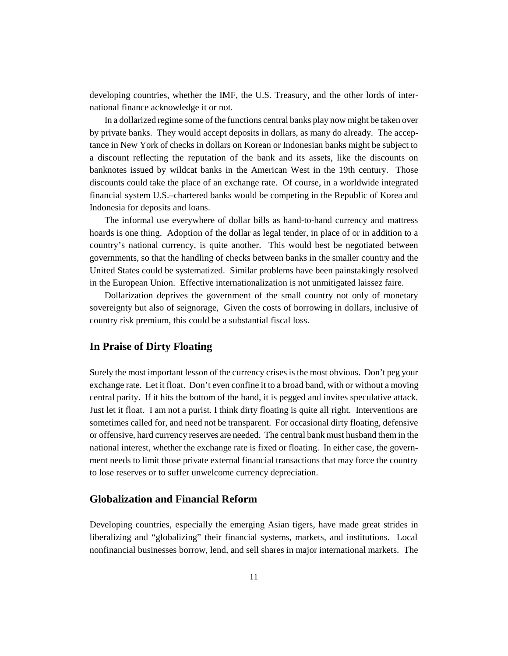developing countries, whether the IMF, the U.S. Treasury, and the other lords of international finance acknowledge it or not.

In a dollarized regime some of the functions central banks play now might be taken over by private banks. They would accept deposits in dollars, as many do already. The acceptance in New York of checks in dollars on Korean or Indonesian banks might be subject to a discount reflecting the reputation of the bank and its assets, like the discounts on banknotes issued by wildcat banks in the American West in the 19th century. Those discounts could take the place of an exchange rate. Of course, in a worldwide integrated financial system U.S.–chartered banks would be competing in the Republic of Korea and Indonesia for deposits and loans.

The informal use everywhere of dollar bills as hand-to-hand currency and mattress hoards is one thing. Adoption of the dollar as legal tender, in place of or in addition to a country's national currency, is quite another. This would best be negotiated between governments, so that the handling of checks between banks in the smaller country and the United States could be systematized. Similar problems have been painstakingly resolved in the European Union. Effective internationalization is not unmitigated laissez faire.

Dollarization deprives the government of the small country not only of monetary sovereignty but also of seignorage, Given the costs of borrowing in dollars, inclusive of country risk premium, this could be a substantial fiscal loss.

#### **In Praise of Dirty Floating**

Surely the most important lesson of the currency crises is the most obvious. Don't peg your exchange rate. Let it float. Don't even confine it to a broad band, with or without a moving central parity. If it hits the bottom of the band, it is pegged and invites speculative attack. Just let it float. I am not a purist. I think dirty floating is quite all right. Interventions are sometimes called for, and need not be transparent. For occasional dirty floating, defensive or offensive, hard currency reserves are needed. The central bank must husband them in the national interest, whether the exchange rate is fixed or floating. In either case, the government needs to limit those private external financial transactions that may force the country to lose reserves or to suffer unwelcome currency depreciation.

#### **Globalization and Financial Reform**

Developing countries, especially the emerging Asian tigers, have made great strides in liberalizing and "globalizing" their financial systems, markets, and institutions. Local nonfinancial businesses borrow, lend, and sell shares in major international markets. The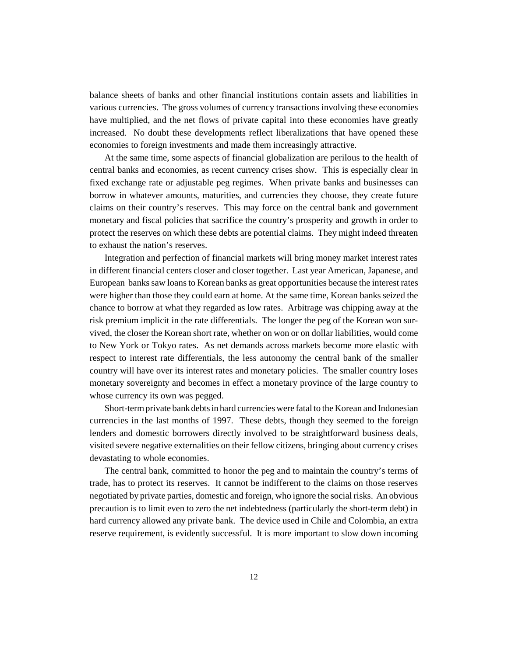balance sheets of banks and other financial institutions contain assets and liabilities in various currencies. The gross volumes of currency transactions involving these economies have multiplied, and the net flows of private capital into these economies have greatly increased. No doubt these developments reflect liberalizations that have opened these economies to foreign investments and made them increasingly attractive.

At the same time, some aspects of financial globalization are perilous to the health of central banks and economies, as recent currency crises show. This is especially clear in fixed exchange rate or adjustable peg regimes. When private banks and businesses can borrow in whatever amounts, maturities, and currencies they choose, they create future claims on their country's reserves. This may force on the central bank and government monetary and fiscal policies that sacrifice the country's prosperity and growth in order to protect the reserves on which these debts are potential claims. They might indeed threaten to exhaust the nation's reserves.

Integration and perfection of financial markets will bring money market interest rates in different financial centers closer and closer together. Last year American, Japanese, and European banks saw loans to Korean banks as great opportunities because the interest rates were higher than those they could earn at home. At the same time, Korean banks seized the chance to borrow at what they regarded as low rates. Arbitrage was chipping away at the risk premium implicit in the rate differentials. The longer the peg of the Korean won survived, the closer the Korean short rate, whether on won or on dollar liabilities, would come to New York or Tokyo rates. As net demands across markets become more elastic with respect to interest rate differentials, the less autonomy the central bank of the smaller country will have over its interest rates and monetary policies. The smaller country loses monetary sovereignty and becomes in effect a monetary province of the large country to whose currency its own was pegged.

Short-term private bank debts in hard currencies were fatal to the Korean and Indonesian currencies in the last months of 1997. These debts, though they seemed to the foreign lenders and domestic borrowers directly involved to be straightforward business deals, visited severe negative externalities on their fellow citizens, bringing about currency crises devastating to whole economies.

The central bank, committed to honor the peg and to maintain the country's terms of trade, has to protect its reserves. It cannot be indifferent to the claims on those reserves negotiated by private parties, domestic and foreign, who ignore the social risks. An obvious precaution is to limit even to zero the net indebtedness (particularly the short-term debt) in hard currency allowed any private bank. The device used in Chile and Colombia, an extra reserve requirement, is evidently successful. It is more important to slow down incoming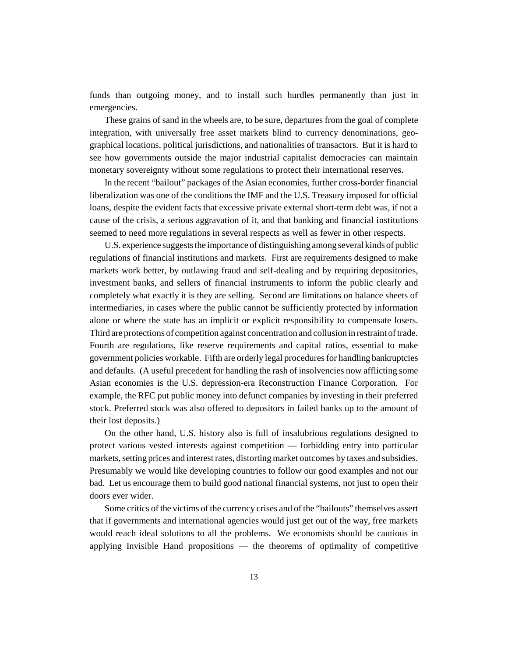funds than outgoing money, and to install such hurdles permanently than just in emergencies.

These grains of sand in the wheels are, to be sure, departures from the goal of complete integration, with universally free asset markets blind to currency denominations, geographical locations, political jurisdictions, and nationalities of transactors. But it is hard to see how governments outside the major industrial capitalist democracies can maintain monetary sovereignty without some regulations to protect their international reserves.

In the recent "bailout" packages of the Asian economies, further cross-border financial liberalization was one of the conditions the IMF and the U.S. Treasury imposed for official loans, despite the evident facts that excessive private external short-term debt was, if not a cause of the crisis, a serious aggravation of it, and that banking and financial institutions seemed to need more regulations in several respects as well as fewer in other respects.

U.S. experience suggests the importance of distinguishing among several kinds of public regulations of financial institutions and markets. First are requirements designed to make markets work better, by outlawing fraud and self-dealing and by requiring depositories, investment banks, and sellers of financial instruments to inform the public clearly and completely what exactly it is they are selling. Second are limitations on balance sheets of intermediaries, in cases where the public cannot be sufficiently protected by information alone or where the state has an implicit or explicit responsibility to compensate losers. Third are protections of competition against concentration and collusion in restraint of trade. Fourth are regulations, like reserve requirements and capital ratios, essential to make government policies workable. Fifth are orderly legal procedures for handling bankruptcies and defaults. (A useful precedent for handling the rash of insolvencies now afflicting some Asian economies is the U.S. depression-era Reconstruction Finance Corporation. For example, the RFC put public money into defunct companies by investing in their preferred stock. Preferred stock was also offered to depositors in failed banks up to the amount of their lost deposits.)

On the other hand, U.S. history also is full of insalubrious regulations designed to protect various vested interests against competition — forbidding entry into particular markets, setting prices and interest rates, distorting market outcomes by taxes and subsidies. Presumably we would like developing countries to follow our good examples and not our bad. Let us encourage them to build good national financial systems, not just to open their doors ever wider.

Some critics of the victims of the currency crises and of the "bailouts" themselves assert that if governments and international agencies would just get out of the way, free markets would reach ideal solutions to all the problems. We economists should be cautious in applying Invisible Hand propositions — the theorems of optimality of competitive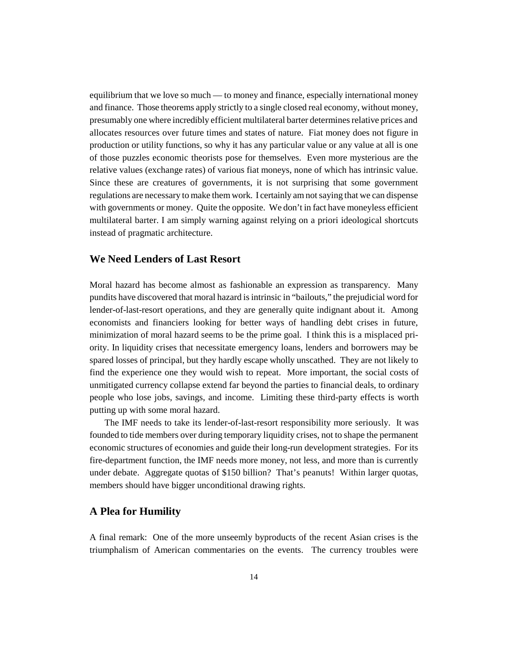equilibrium that we love so much — to money and finance, especially international money and finance. Those theorems apply strictly to a single closed real economy, without money, presumably one where incredibly efficient multilateral barter determines relative prices and allocates resources over future times and states of nature. Fiat money does not figure in production or utility functions, so why it has any particular value or any value at all is one of those puzzles economic theorists pose for themselves. Even more mysterious are the relative values (exchange rates) of various fiat moneys, none of which has intrinsic value. Since these are creatures of governments, it is not surprising that some government regulations are necessary to make them work. I certainly am not saying that we can dispense with governments or money. Quite the opposite. We don't in fact have moneyless efficient multilateral barter. I am simply warning against relying on a priori ideological shortcuts instead of pragmatic architecture.

### **We Need Lenders of Last Resort**

Moral hazard has become almost as fashionable an expression as transparency. Many pundits have discovered that moral hazard is intrinsic in "bailouts," the prejudicial word for lender-of-last-resort operations, and they are generally quite indignant about it. Among economists and financiers looking for better ways of handling debt crises in future, minimization of moral hazard seems to be the prime goal. I think this is a misplaced priority. In liquidity crises that necessitate emergency loans, lenders and borrowers may be spared losses of principal, but they hardly escape wholly unscathed. They are not likely to find the experience one they would wish to repeat. More important, the social costs of unmitigated currency collapse extend far beyond the parties to financial deals, to ordinary people who lose jobs, savings, and income. Limiting these third-party effects is worth putting up with some moral hazard.

The IMF needs to take its lender-of-last-resort responsibility more seriously. It was founded to tide members over during temporary liquidity crises, not to shape the permanent economic structures of economies and guide their long-run development strategies. For its fire-department function, the IMF needs more money, not less, and more than is currently under debate. Aggregate quotas of \$150 billion? That's peanuts! Within larger quotas, members should have bigger unconditional drawing rights.

#### **A Plea for Humility**

A final remark: One of the more unseemly byproducts of the recent Asian crises is the triumphalism of American commentaries on the events. The currency troubles were